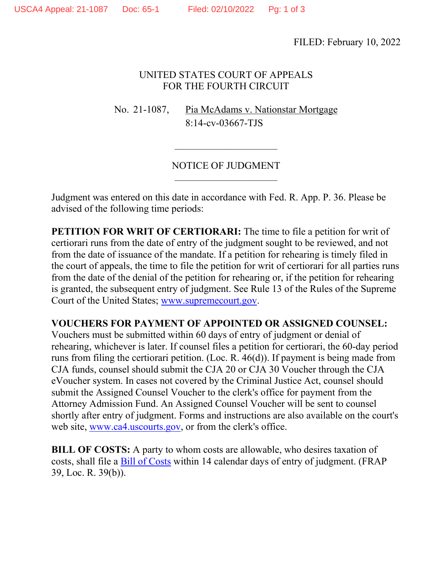FILED: February 10, 2022

# UNITED STATES COURT OF APPEALS FOR THE FOURTH CIRCUIT

No. 21-1087, Pia McAdams v. Nationstar Mortgage 8:14-cv-03667-TJS

### NOTICE OF JUDGMENT  $\overline{\phantom{a}}$  , which is a set of the set of the set of the set of the set of the set of the set of the set of the set of the set of the set of the set of the set of the set of the set of the set of the set of the set of th

Judgment was entered on this date in accordance with Fed. R. App. P. 36. Please be advised of the following time periods:

**PETITION FOR WRIT OF CERTIORARI:** The time to file a petition for writ of certiorari runs from the date of entry of the judgment sought to be reviewed, and not from the date of issuance of the mandate. If a petition for rehearing is timely filed in the court of appeals, the time to file the petition for writ of certiorari for all parties runs from the date of the denial of the petition for rehearing or, if the petition for rehearing is granted, the subsequent entry of judgment. See Rule 13 of the Rules of the Supreme Court of the United States; [www.supremecourt.gov.](http://www.supremecourt.gov/)

# **VOUCHERS FOR PAYMENT OF APPOINTED OR ASSIGNED COUNSEL:**

Vouchers must be submitted within 60 days of entry of judgment or denial of rehearing, whichever is later. If counsel files a petition for certiorari, the 60-day period runs from filing the certiorari petition. (Loc. R. 46(d)). If payment is being made from CJA funds, counsel should submit the CJA 20 or CJA 30 Voucher through the CJA eVoucher system. In cases not covered by the Criminal Justice Act, counsel should submit the Assigned Counsel Voucher to the clerk's office for payment from the Attorney Admission Fund. An Assigned Counsel Voucher will be sent to counsel shortly after entry of judgment. Forms and instructions are also available on the court's web site, [www.ca4.uscourts.gov,](https://www.ca4.uscourts.gov/) or from the clerk's office.

**BILL OF COSTS:** A party to whom costs are allowable, who desires taxation of costs, shall file a [Bill of Costs](https://www.ca4.uscourts.gov/docs/pdfs/Costs.pdf) within 14 calendar days of entry of judgment. (FRAP 39, Loc. R. 39(b)).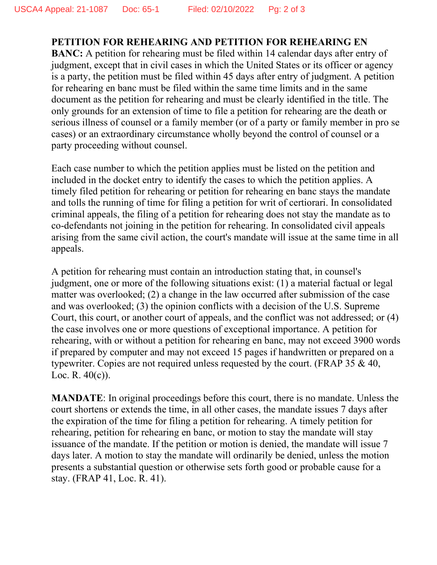**PETITION FOR REHEARING AND PETITION FOR REHEARING EN BANC:** A petition for rehearing must be filed within 14 calendar days after entry of judgment, except that in civil cases in which the United States or its officer or agency is a party, the petition must be filed within 45 days after entry of judgment. A petition for rehearing en banc must be filed within the same time limits and in the same document as the petition for rehearing and must be clearly identified in the title. The only grounds for an extension of time to file a petition for rehearing are the death or serious illness of counsel or a family member (or of a party or family member in pro se cases) or an extraordinary circumstance wholly beyond the control of counsel or a party proceeding without counsel.

Each case number to which the petition applies must be listed on the petition and included in the docket entry to identify the cases to which the petition applies. A timely filed petition for rehearing or petition for rehearing en banc stays the mandate and tolls the running of time for filing a petition for writ of certiorari. In consolidated criminal appeals, the filing of a petition for rehearing does not stay the mandate as to co-defendants not joining in the petition for rehearing. In consolidated civil appeals arising from the same civil action, the court's mandate will issue at the same time in all appeals.

A petition for rehearing must contain an introduction stating that, in counsel's judgment, one or more of the following situations exist: (1) a material factual or legal matter was overlooked; (2) a change in the law occurred after submission of the case and was overlooked; (3) the opinion conflicts with a decision of the U.S. Supreme Court, this court, or another court of appeals, and the conflict was not addressed; or (4) the case involves one or more questions of exceptional importance. A petition for rehearing, with or without a petition for rehearing en banc, may not exceed 3900 words if prepared by computer and may not exceed 15 pages if handwritten or prepared on a typewriter. Copies are not required unless requested by the court. (FRAP 35 & 40, Loc. R. 40(c)).

**MANDATE**: In original proceedings before this court, there is no mandate. Unless the court shortens or extends the time, in all other cases, the mandate issues 7 days after the expiration of the time for filing a petition for rehearing. A timely petition for rehearing, petition for rehearing en banc, or motion to stay the mandate will stay issuance of the mandate. If the petition or motion is denied, the mandate will issue 7 days later. A motion to stay the mandate will ordinarily be denied, unless the motion presents a substantial question or otherwise sets forth good or probable cause for a stay. (FRAP 41, Loc. R. 41).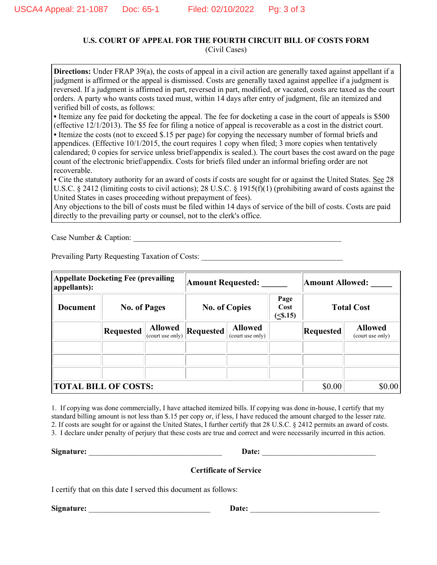### **U.S. COURT OF APPEAL FOR THE FOURTH CIRCUIT BILL OF COSTS FORM**

(Civil Cases)

**Directions:** Under FRAP 39(a), the costs of appeal in a civil action are generally taxed against appellant if a judgment is affirmed or the appeal is dismissed. Costs are generally taxed against appellee if a judgment is reversed. If a judgment is affirmed in part, reversed in part, modified, or vacated, costs are taxed as the court orders. A party who wants costs taxed must, within 14 days after entry of judgment, file an itemized and verified bill of costs, as follows:

**•** Itemize any fee paid for docketing the appeal. The fee for docketing a case in the court of appeals is \$500 (effective 12/1/2013). The \$5 fee for filing a notice of appeal is recoverable as a cost in the district court. • Itemize the costs (not to exceed \$.15 per page) for copying the necessary number of formal briefs and appendices. (Effective 10/1/2015, the court requires 1 copy when filed; 3 more copies when tentatively calendared; 0 copies for service unless brief/appendix is sealed.). The court bases the cost award on the page

count of the electronic brief/appendix. Costs for briefs filed under an informal briefing order are not recoverable.

**•** Cite the statutory authority for an award of costs if costs are sought for or against the United States. See 28 U.S.C. § 2412 (limiting costs to civil actions); 28 U.S.C. § 1915(f)(1) (prohibiting award of costs against the United States in cases proceeding without prepayment of fees).

Any objections to the bill of costs must be filed within 14 days of service of the bill of costs. Costs are paid directly to the prevailing party or counsel, not to the clerk's office.

Case Number & Caption:

Prevailing Party Requesting Taxation of Costs:

| <b>Appellate Docketing Fee (prevailing</b><br>appellants): |                     |                                    | <b>Amount Requested:</b> |                                    |                        | <b>Amount Allowed:</b> |                                    |
|------------------------------------------------------------|---------------------|------------------------------------|--------------------------|------------------------------------|------------------------|------------------------|------------------------------------|
| <b>Document</b>                                            | <b>No. of Pages</b> |                                    | <b>No. of Copies</b>     |                                    | Page<br>Cost<br>(5.15) | <b>Total Cost</b>      |                                    |
|                                                            | <b>Requested</b>    | <b>Allowed</b><br>(court use only) | Requested                | <b>Allowed</b><br>(court use only) |                        | <b>Requested</b>       | <b>Allowed</b><br>(court use only) |
|                                                            |                     |                                    |                          |                                    |                        |                        |                                    |
| <b>TOTAL BILL OF COSTS:</b>                                |                     |                                    |                          |                                    |                        | \$0.00                 | \$0.00                             |

1. If copying was done commercially, I have attached itemized bills. If copying was done in-house, I certify that my standard billing amount is not less than \$.15 per copy or, if less, I have reduced the amount charged to the lesser rate. 2. If costs are sought for or against the United States, I further certify that 28 U.S.C. § 2412 permits an award of costs. 3. I declare under penalty of perjury that these costs are true and correct and were necessarily incurred in this action.

**Signature:** \_\_\_\_\_\_\_\_\_\_\_\_\_\_\_\_\_\_\_\_\_\_\_\_\_\_\_\_\_\_\_\_\_\_ **Date:** \_\_\_\_\_\_\_\_\_\_\_\_\_\_\_\_\_\_\_\_\_\_\_\_\_\_\_\_\_

#### **Certificate of Service**

I certify that on this date I served this document as follows:

**Signature:** \_\_\_\_\_\_\_\_\_\_\_\_\_\_\_\_\_\_\_\_\_\_\_\_\_\_\_\_\_\_\_ **Date:** \_\_\_\_\_\_\_\_\_\_\_\_\_\_\_\_\_\_\_\_\_\_\_\_\_\_\_\_\_\_\_\_\_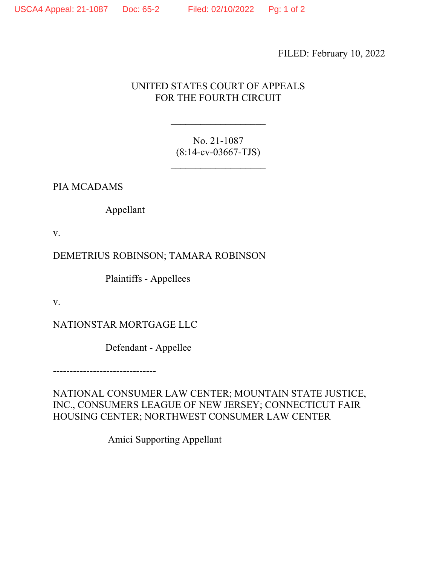FILED: February 10, 2022

# UNITED STATES COURT OF APPEALS FOR THE FOURTH CIRCUIT

 $\mathcal{L}_\text{max}$  , where  $\mathcal{L}_\text{max}$ 

No. 21-1087 (8:14-cv-03667-TJS)

 $\mathcal{L}_\text{max}$  , where  $\mathcal{L}_\text{max}$ 

PIA MCADAMS

Appellant

v.

DEMETRIUS ROBINSON; TAMARA ROBINSON

Plaintiffs - Appellees

v.

NATIONSTAR MORTGAGE LLC

Defendant - Appellee

-------------------------------

NATIONAL CONSUMER LAW CENTER; MOUNTAIN STATE JUSTICE, INC., CONSUMERS LEAGUE OF NEW JERSEY; CONNECTICUT FAIR HOUSING CENTER; NORTHWEST CONSUMER LAW CENTER

Amici Supporting Appellant